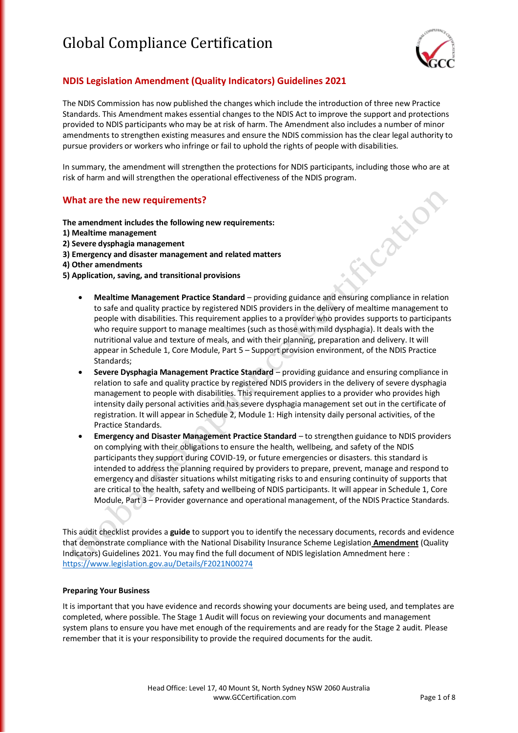

Cation

#### **NDIS Legislation Amendment (Quality Indicators) Guidelines 2021**

The NDIS Commission has now published the changes which include the introduction of three new Practice Standards. This Amendment makes essential changes to the NDIS Act to improve the support and protections provided to NDIS participants who may be at risk of harm. The Amendment also includes a number of minor amendments to strengthen existing measures and ensure the NDIS commission has the clear legal authority to pursue providers or workers who infringe or fail to uphold the rights of people with disabilities.

In summary, the amendment will strengthen the protections for NDIS participants, including those who are at risk of harm and will strengthen the operational effectiveness of the NDIS program.

#### **What are the new requirements?**

**The amendment includes the following new requirements:**

- **1) Mealtime management**
- **2) Severe dysphagia management**
- **3) Emergency and disaster management and related matters**
- **4) Other amendments**
- **5) Application, saving, and transitional provisions**
	- **Mealtime Management Practice Standard** providing guidance and ensuring compliance in relation to safe and quality practice by registered NDIS providers in the delivery of mealtime management to people with disabilities. This requirement applies to a provider who provides supports to participants who require support to manage mealtimes (such as those with mild dysphagia). It deals with the nutritional value and texture of meals, and with their planning, preparation and delivery. It will appear in Schedule 1, Core Module, Part 5 – Support provision environment, of the NDIS Practice Standards;
	- **Severe Dysphagia Management Practice Standard** providing guidance and ensuring compliance in relation to safe and quality practice by registered NDIS providers in the delivery of severe dysphagia management to people with disabilities. This requirement applies to a provider who provides high intensity daily personal activities and has severe dysphagia management set out in the certificate of registration. It will appear in Schedule 2, Module 1: High intensity daily personal activities, of the Practice Standards.
	- **Emergency and Disaster Management Practice Standard** to strengthen guidance to NDIS providers on complying with their obligations to ensure the health, wellbeing, and safety of the NDIS participants they support during COVID-19, or future emergencies or disasters. this standard is intended to address the planning required by providers to prepare, prevent, manage and respond to emergency and disaster situations whilst mitigating risks to and ensuring continuity of supports that are critical to the health, safety and wellbeing of NDIS participants. It will appear in Schedule 1, Core Module, Part 3 – Provider governance and operational management, of the NDIS Practice Standards.

This audit checklist provides a **guide** to support you to identify the necessary documents, records and evidence that demonstrate compliance with the National Disability Insurance Scheme Legislation **Amendment** (Quality Indicators) Guidelines 2021. You may find the full document of NDIS legislation Amnedment here : <https://www.legislation.gov.au/Details/F2021N00274>

#### **Preparing Your Business**

It is important that you have evidence and records showing your documents are being used, and templates are completed, where possible. The Stage 1 Audit will focus on reviewing your documents and management system plans to ensure you have met enough of the requirements and are ready for the Stage 2 audit. Please remember that it is your responsibility to provide the required documents for the audit.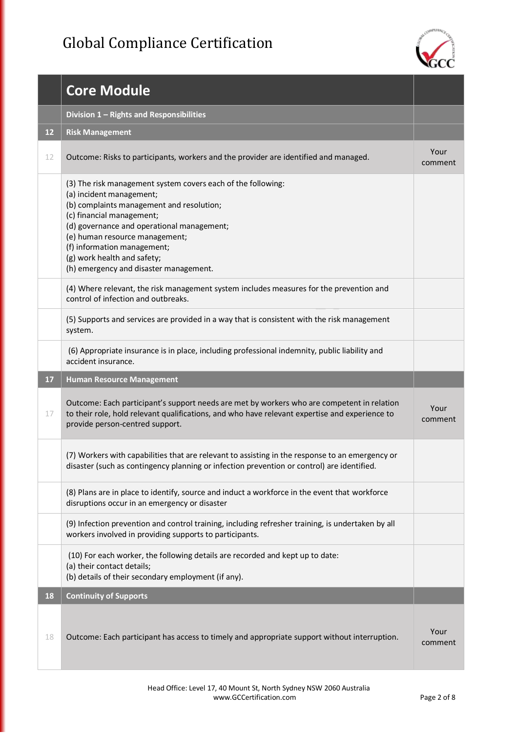

|    | <b>Core Module</b>                                                                                                                                                                                                                                                                                                                                         |                 |
|----|------------------------------------------------------------------------------------------------------------------------------------------------------------------------------------------------------------------------------------------------------------------------------------------------------------------------------------------------------------|-----------------|
|    | Division 1 - Rights and Responsibilities                                                                                                                                                                                                                                                                                                                   |                 |
| 12 | <b>Risk Management</b>                                                                                                                                                                                                                                                                                                                                     |                 |
| 12 | Outcome: Risks to participants, workers and the provider are identified and managed.                                                                                                                                                                                                                                                                       | Your<br>comment |
|    | (3) The risk management system covers each of the following:<br>(a) incident management;<br>(b) complaints management and resolution;<br>(c) financial management;<br>(d) governance and operational management;<br>(e) human resource management;<br>(f) information management;<br>(g) work health and safety;<br>(h) emergency and disaster management. |                 |
|    | (4) Where relevant, the risk management system includes measures for the prevention and<br>control of infection and outbreaks.                                                                                                                                                                                                                             |                 |
|    | (5) Supports and services are provided in a way that is consistent with the risk management<br>system.                                                                                                                                                                                                                                                     |                 |
|    | (6) Appropriate insurance is in place, including professional indemnity, public liability and<br>accident insurance.                                                                                                                                                                                                                                       |                 |
|    |                                                                                                                                                                                                                                                                                                                                                            |                 |
| 17 | <b>Human Resource Management</b>                                                                                                                                                                                                                                                                                                                           |                 |
| 17 | Outcome: Each participant's support needs are met by workers who are competent in relation<br>to their role, hold relevant qualifications, and who have relevant expertise and experience to<br>provide person-centred support.                                                                                                                            | Your<br>comment |
|    | (7) Workers with capabilities that are relevant to assisting in the response to an emergency or<br>disaster (such as contingency planning or infection prevention or control) are identified.                                                                                                                                                              |                 |
|    | (8) Plans are in place to identify, source and induct a workforce in the event that workforce<br>disruptions occur in an emergency or disaster                                                                                                                                                                                                             |                 |
|    | (9) Infection prevention and control training, including refresher training, is undertaken by all<br>workers involved in providing supports to participants.                                                                                                                                                                                               |                 |
|    | (10) For each worker, the following details are recorded and kept up to date:<br>(a) their contact details;<br>(b) details of their secondary employment (if any).                                                                                                                                                                                         |                 |
| 18 | <b>Continuity of Supports</b>                                                                                                                                                                                                                                                                                                                              |                 |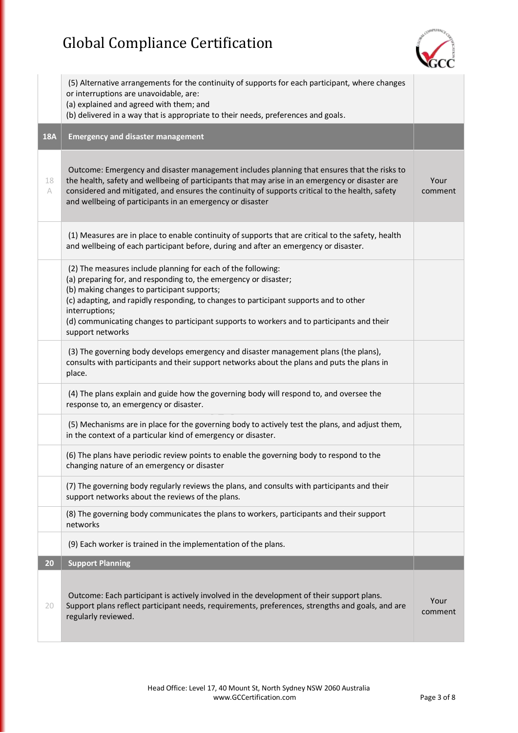

|            | (5) Alternative arrangements for the continuity of supports for each participant, where changes<br>or interruptions are unavoidable, are:<br>(a) explained and agreed with them; and<br>(b) delivered in a way that is appropriate to their needs, preferences and goals.                                                                                                                                    |                 |
|------------|--------------------------------------------------------------------------------------------------------------------------------------------------------------------------------------------------------------------------------------------------------------------------------------------------------------------------------------------------------------------------------------------------------------|-----------------|
| <b>18A</b> | <b>Emergency and disaster management</b>                                                                                                                                                                                                                                                                                                                                                                     |                 |
| 18<br>A    | Outcome: Emergency and disaster management includes planning that ensures that the risks to<br>the health, safety and wellbeing of participants that may arise in an emergency or disaster are<br>considered and mitigated, and ensures the continuity of supports critical to the health, safety<br>and wellbeing of participants in an emergency or disaster                                               | Your<br>comment |
|            | (1) Measures are in place to enable continuity of supports that are critical to the safety, health<br>and wellbeing of each participant before, during and after an emergency or disaster.                                                                                                                                                                                                                   |                 |
|            | (2) The measures include planning for each of the following:<br>(a) preparing for, and responding to, the emergency or disaster;<br>(b) making changes to participant supports;<br>(c) adapting, and rapidly responding, to changes to participant supports and to other<br>interruptions;<br>(d) communicating changes to participant supports to workers and to participants and their<br>support networks |                 |
|            | (3) The governing body develops emergency and disaster management plans (the plans),<br>consults with participants and their support networks about the plans and puts the plans in<br>place.                                                                                                                                                                                                                |                 |
|            | (4) The plans explain and guide how the governing body will respond to, and oversee the<br>response to, an emergency or disaster.                                                                                                                                                                                                                                                                            |                 |
|            | (5) Mechanisms are in place for the governing body to actively test the plans, and adjust them,<br>in the context of a particular kind of emergency or disaster.                                                                                                                                                                                                                                             |                 |
|            | (6) The plans have periodic review points to enable the governing body to respond to the<br>changing nature of an emergency or disaster                                                                                                                                                                                                                                                                      |                 |
|            | (7) The governing body regularly reviews the plans, and consults with participants and their<br>support networks about the reviews of the plans.                                                                                                                                                                                                                                                             |                 |
|            | (8) The governing body communicates the plans to workers, participants and their support<br>networks                                                                                                                                                                                                                                                                                                         |                 |
|            | (9) Each worker is trained in the implementation of the plans.                                                                                                                                                                                                                                                                                                                                               |                 |
| 20         | <b>Support Planning</b>                                                                                                                                                                                                                                                                                                                                                                                      |                 |
| 20         | Outcome: Each participant is actively involved in the development of their support plans.<br>Support plans reflect participant needs, requirements, preferences, strengths and goals, and are<br>regularly reviewed.                                                                                                                                                                                         | Your<br>comment |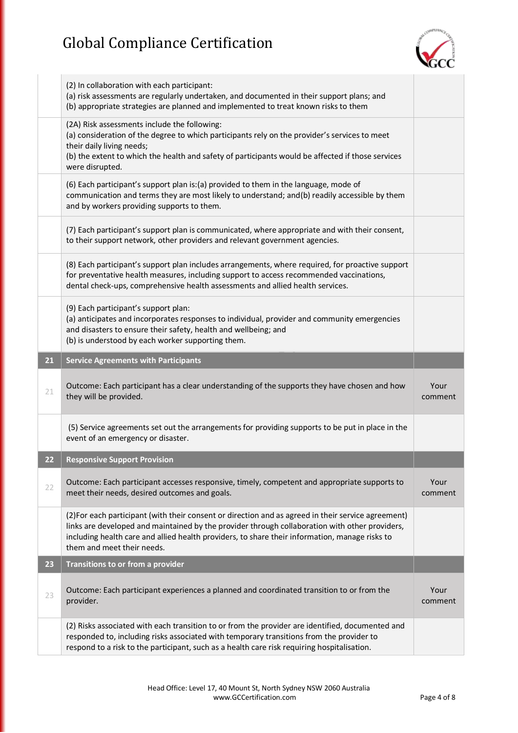

|    | (2) In collaboration with each participant:<br>(a) risk assessments are regularly undertaken, and documented in their support plans; and<br>(b) appropriate strategies are planned and implemented to treat known risks to them                                                                                                       |                 |
|----|---------------------------------------------------------------------------------------------------------------------------------------------------------------------------------------------------------------------------------------------------------------------------------------------------------------------------------------|-----------------|
|    | (2A) Risk assessments include the following:<br>(a) consideration of the degree to which participants rely on the provider's services to meet<br>their daily living needs;<br>(b) the extent to which the health and safety of participants would be affected if those services<br>were disrupted.                                    |                 |
|    | (6) Each participant's support plan is: (a) provided to them in the language, mode of<br>communication and terms they are most likely to understand; and(b) readily accessible by them<br>and by workers providing supports to them.                                                                                                  |                 |
|    | (7) Each participant's support plan is communicated, where appropriate and with their consent,<br>to their support network, other providers and relevant government agencies.                                                                                                                                                         |                 |
|    | (8) Each participant's support plan includes arrangements, where required, for proactive support<br>for preventative health measures, including support to access recommended vaccinations,<br>dental check-ups, comprehensive health assessments and allied health services.                                                         |                 |
|    | (9) Each participant's support plan:<br>(a) anticipates and incorporates responses to individual, provider and community emergencies<br>and disasters to ensure their safety, health and wellbeing; and<br>(b) is understood by each worker supporting them.                                                                          |                 |
| 21 | <b>Service Agreements with Participants</b>                                                                                                                                                                                                                                                                                           |                 |
|    |                                                                                                                                                                                                                                                                                                                                       |                 |
| 21 | Outcome: Each participant has a clear understanding of the supports they have chosen and how<br>they will be provided.                                                                                                                                                                                                                | Your<br>comment |
|    | (5) Service agreements set out the arrangements for providing supports to be put in place in the<br>event of an emergency or disaster.                                                                                                                                                                                                |                 |
| 22 | <b>Responsive Support Provision</b>                                                                                                                                                                                                                                                                                                   |                 |
| 22 | Outcome: Each participant accesses responsive, timely, competent and appropriate supports to<br>meet their needs, desired outcomes and goals.                                                                                                                                                                                         | Your<br>comment |
|    | (2) For each participant (with their consent or direction and as agreed in their service agreement)<br>links are developed and maintained by the provider through collaboration with other providers,<br>including health care and allied health providers, to share their information, manage risks to<br>them and meet their needs. |                 |
| 23 | Transitions to or from a provider                                                                                                                                                                                                                                                                                                     |                 |
| 23 | Outcome: Each participant experiences a planned and coordinated transition to or from the<br>provider.                                                                                                                                                                                                                                | Your<br>comment |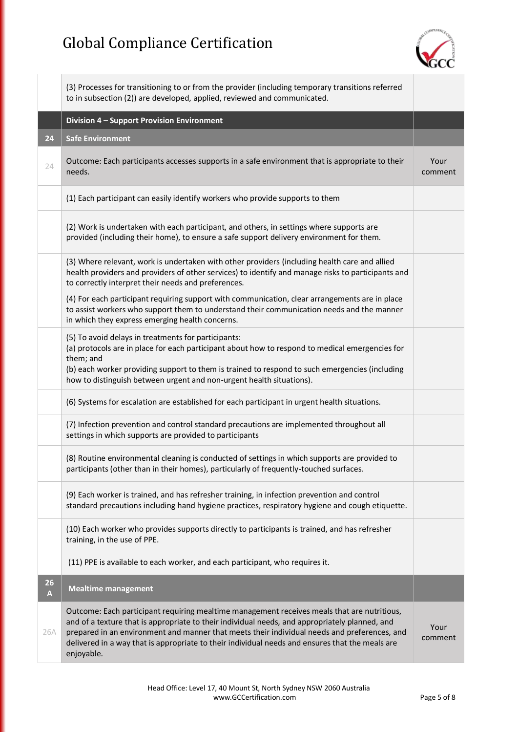

|         | (3) Processes for transitioning to or from the provider (including temporary transitions referred<br>to in subsection (2)) are developed, applied, reviewed and communicated.                                                                                                                                                                                                                                  |                 |
|---------|----------------------------------------------------------------------------------------------------------------------------------------------------------------------------------------------------------------------------------------------------------------------------------------------------------------------------------------------------------------------------------------------------------------|-----------------|
|         | Division 4 - Support Provision Environment                                                                                                                                                                                                                                                                                                                                                                     |                 |
| 24      | <b>Safe Environment</b>                                                                                                                                                                                                                                                                                                                                                                                        |                 |
| 24      | Outcome: Each participants accesses supports in a safe environment that is appropriate to their<br>needs.                                                                                                                                                                                                                                                                                                      | Your<br>comment |
|         | (1) Each participant can easily identify workers who provide supports to them                                                                                                                                                                                                                                                                                                                                  |                 |
|         | (2) Work is undertaken with each participant, and others, in settings where supports are<br>provided (including their home), to ensure a safe support delivery environment for them.                                                                                                                                                                                                                           |                 |
|         | (3) Where relevant, work is undertaken with other providers (including health care and allied<br>health providers and providers of other services) to identify and manage risks to participants and<br>to correctly interpret their needs and preferences.                                                                                                                                                     |                 |
|         | (4) For each participant requiring support with communication, clear arrangements are in place<br>to assist workers who support them to understand their communication needs and the manner<br>in which they express emerging health concerns.                                                                                                                                                                 |                 |
|         | (5) To avoid delays in treatments for participants:<br>(a) protocols are in place for each participant about how to respond to medical emergencies for<br>them; and<br>(b) each worker providing support to them is trained to respond to such emergencies (including<br>how to distinguish between urgent and non-urgent health situations).                                                                  |                 |
|         | (6) Systems for escalation are established for each participant in urgent health situations.                                                                                                                                                                                                                                                                                                                   |                 |
|         | (7) Infection prevention and control standard precautions are implemented throughout all<br>settings in which supports are provided to participants                                                                                                                                                                                                                                                            |                 |
|         | (8) Routine environmental cleaning is conducted of settings in which supports are provided to<br>participants (other than in their homes), particularly of frequently-touched surfaces.                                                                                                                                                                                                                        |                 |
|         | (9) Each worker is trained, and has refresher training, in infection prevention and control<br>standard precautions including hand hygiene practices, respiratory hygiene and cough etiquette.                                                                                                                                                                                                                 |                 |
|         | (10) Each worker who provides supports directly to participants is trained, and has refresher<br>training, in the use of PPE.                                                                                                                                                                                                                                                                                  |                 |
|         | (11) PPE is available to each worker, and each participant, who requires it.                                                                                                                                                                                                                                                                                                                                   |                 |
| 26<br>A | <b>Mealtime management</b>                                                                                                                                                                                                                                                                                                                                                                                     |                 |
| 26A     | Outcome: Each participant requiring mealtime management receives meals that are nutritious,<br>and of a texture that is appropriate to their individual needs, and appropriately planned, and<br>prepared in an environment and manner that meets their individual needs and preferences, and<br>delivered in a way that is appropriate to their individual needs and ensures that the meals are<br>enjoyable. | Your<br>comment |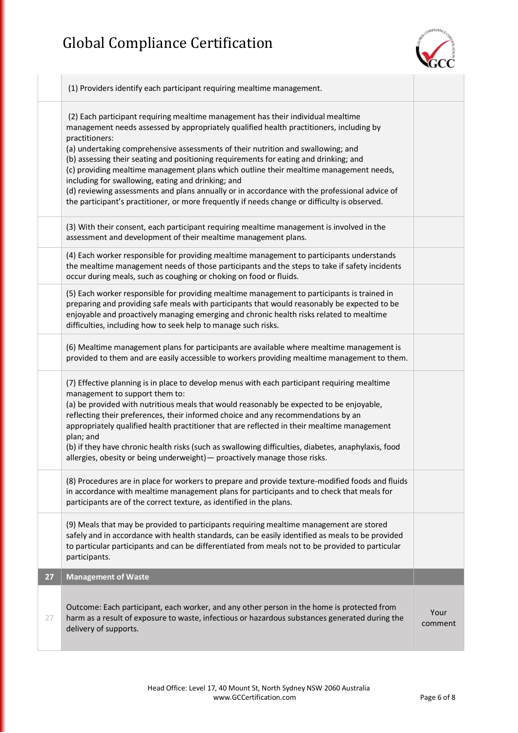

|    | (1) Providers identify each participant requiring mealtime management.                                                                                                                                                                                                                                                                                                                                                                                                                                                                                                                                                                                                                                                       |                 |
|----|------------------------------------------------------------------------------------------------------------------------------------------------------------------------------------------------------------------------------------------------------------------------------------------------------------------------------------------------------------------------------------------------------------------------------------------------------------------------------------------------------------------------------------------------------------------------------------------------------------------------------------------------------------------------------------------------------------------------------|-----------------|
|    | (2) Each participant requiring mealtime management has their individual mealtime<br>management needs assessed by appropriately qualified health practitioners, including by<br>practitioners:<br>(a) undertaking comprehensive assessments of their nutrition and swallowing; and<br>(b) assessing their seating and positioning requirements for eating and drinking; and<br>(c) providing mealtime management plans which outline their mealtime management needs,<br>including for swallowing, eating and drinking; and<br>(d) reviewing assessments and plans annually or in accordance with the professional advice of<br>the participant's practitioner, or more frequently if needs change or difficulty is observed. |                 |
|    | (3) With their consent, each participant requiring mealtime management is involved in the<br>assessment and development of their mealtime management plans.                                                                                                                                                                                                                                                                                                                                                                                                                                                                                                                                                                  |                 |
|    | (4) Each worker responsible for providing mealtime management to participants understands<br>the mealtime management needs of those participants and the steps to take if safety incidents<br>occur during meals, such as coughing or choking on food or fluids.                                                                                                                                                                                                                                                                                                                                                                                                                                                             |                 |
|    | (5) Each worker responsible for providing mealtime management to participants is trained in<br>preparing and providing safe meals with participants that would reasonably be expected to be<br>enjoyable and proactively managing emerging and chronic health risks related to mealtime<br>difficulties, including how to seek help to manage such risks.                                                                                                                                                                                                                                                                                                                                                                    |                 |
|    | (6) Mealtime management plans for participants are available where mealtime management is<br>provided to them and are easily accessible to workers providing mealtime management to them.                                                                                                                                                                                                                                                                                                                                                                                                                                                                                                                                    |                 |
|    | (7) Effective planning is in place to develop menus with each participant requiring mealtime<br>management to support them to:<br>(a) be provided with nutritious meals that would reasonably be expected to be enjoyable,<br>reflecting their preferences, their informed choice and any recommendations by an<br>appropriately qualified health practitioner that are reflected in their mealtime management<br>plan; and<br>(b) if they have chronic health risks (such as swallowing difficulties, diabetes, anaphylaxis, food<br>allergies, obesity or being underweight) - proactively manage those risks.                                                                                                             |                 |
|    | (8) Procedures are in place for workers to prepare and provide texture-modified foods and fluids<br>in accordance with mealtime management plans for participants and to check that meals for<br>participants are of the correct texture, as identified in the plans.                                                                                                                                                                                                                                                                                                                                                                                                                                                        |                 |
|    | (9) Meals that may be provided to participants requiring mealtime management are stored<br>safely and in accordance with health standards, can be easily identified as meals to be provided<br>to particular participants and can be differentiated from meals not to be provided to particular<br>participants.                                                                                                                                                                                                                                                                                                                                                                                                             |                 |
| 27 | <b>Management of Waste</b>                                                                                                                                                                                                                                                                                                                                                                                                                                                                                                                                                                                                                                                                                                   |                 |
| 27 | Outcome: Each participant, each worker, and any other person in the home is protected from<br>harm as a result of exposure to waste, infectious or hazardous substances generated during the<br>delivery of supports.                                                                                                                                                                                                                                                                                                                                                                                                                                                                                                        | Your<br>comment |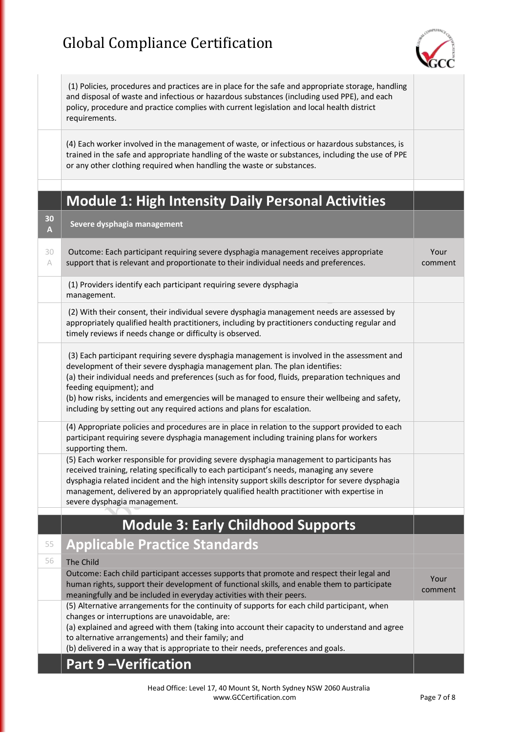

|         | (1) Policies, procedures and practices are in place for the safe and appropriate storage, handling<br>and disposal of waste and infectious or hazardous substances (including used PPE), and each<br>policy, procedure and practice complies with current legislation and local health district<br>requirements.                                                                                                                                                                        |                 |
|---------|-----------------------------------------------------------------------------------------------------------------------------------------------------------------------------------------------------------------------------------------------------------------------------------------------------------------------------------------------------------------------------------------------------------------------------------------------------------------------------------------|-----------------|
|         | (4) Each worker involved in the management of waste, or infectious or hazardous substances, is<br>trained in the safe and appropriate handling of the waste or substances, including the use of PPE<br>or any other clothing required when handling the waste or substances.                                                                                                                                                                                                            |                 |
|         |                                                                                                                                                                                                                                                                                                                                                                                                                                                                                         |                 |
|         | <b>Module 1: High Intensity Daily Personal Activities</b>                                                                                                                                                                                                                                                                                                                                                                                                                               |                 |
| 30<br>A | Severe dysphagia management                                                                                                                                                                                                                                                                                                                                                                                                                                                             |                 |
| 30<br>A | Outcome: Each participant requiring severe dysphagia management receives appropriate<br>support that is relevant and proportionate to their individual needs and preferences.                                                                                                                                                                                                                                                                                                           | Your<br>comment |
|         | (1) Providers identify each participant requiring severe dysphagia<br>management.                                                                                                                                                                                                                                                                                                                                                                                                       |                 |
|         | (2) With their consent, their individual severe dysphagia management needs are assessed by<br>appropriately qualified health practitioners, including by practitioners conducting regular and<br>timely reviews if needs change or difficulty is observed.                                                                                                                                                                                                                              |                 |
|         | (3) Each participant requiring severe dysphagia management is involved in the assessment and<br>development of their severe dysphagia management plan. The plan identifies:<br>(a) their individual needs and preferences (such as for food, fluids, preparation techniques and<br>feeding equipment); and<br>(b) how risks, incidents and emergencies will be managed to ensure their wellbeing and safety,<br>including by setting out any required actions and plans for escalation. |                 |
|         | (4) Appropriate policies and procedures are in place in relation to the support provided to each<br>participant requiring severe dysphagia management including training plans for workers<br>supporting them.                                                                                                                                                                                                                                                                          |                 |
|         | (5) Each worker responsible for providing severe dysphagia management to participants has<br>received training, relating specifically to each participant's needs, managing any severe<br>dysphagia related incident and the high intensity support skills descriptor for severe dysphagia<br>management, delivered by an appropriately qualified health practitioner with expertise in<br>severe dysphagia management.                                                                 |                 |
|         | <b>Module 3: Early Childhood Supports</b>                                                                                                                                                                                                                                                                                                                                                                                                                                               |                 |
| 55      | <b>Applicable Practice Standards</b>                                                                                                                                                                                                                                                                                                                                                                                                                                                    |                 |
| 56      | The Child                                                                                                                                                                                                                                                                                                                                                                                                                                                                               |                 |
|         | Outcome: Each child participant accesses supports that promote and respect their legal and<br>human rights, support their development of functional skills, and enable them to participate<br>meaningfully and be included in everyday activities with their peers.                                                                                                                                                                                                                     | Your<br>comment |
|         | (5) Alternative arrangements for the continuity of supports for each child participant, when<br>changes or interruptions are unavoidable, are:<br>(a) explained and agreed with them (taking into account their capacity to understand and agree<br>to alternative arrangements) and their family; and<br>(b) delivered in a way that is appropriate to their needs, preferences and goals.                                                                                             |                 |
|         | <b>Part 9-Verification</b>                                                                                                                                                                                                                                                                                                                                                                                                                                                              |                 |